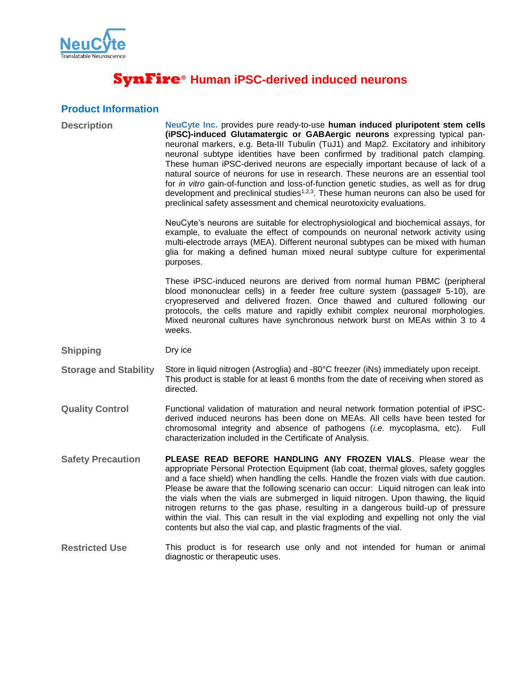

# **SynFire® Human iPSC-derived induced neurons**

## **Product Information**

| <b>Description</b>           | NeuCyte Inc. provides pure ready-to-use human induced pluripotent stem cells<br>(iPSC)-induced Glutamatergic or GABAergic neurons expressing typical pan-<br>neuronal markers, e.g. Beta-III Tubulin (TuJ1) and Map2. Excitatory and inhibitory<br>neuronal subtype identities have been confirmed by traditional patch clamping.<br>These human iPSC-derived neurons are especially important because of lack of a<br>natural source of neurons for use in research. These neurons are an essential tool<br>for in vitro gain-of-function and loss-of-function genetic studies, as well as for drug<br>development and preclinical studies <sup>1,2,3</sup> . These human neurons can also be used for<br>preclinical safety assessment and chemical neurotoxicity evaluations. |
|------------------------------|----------------------------------------------------------------------------------------------------------------------------------------------------------------------------------------------------------------------------------------------------------------------------------------------------------------------------------------------------------------------------------------------------------------------------------------------------------------------------------------------------------------------------------------------------------------------------------------------------------------------------------------------------------------------------------------------------------------------------------------------------------------------------------|
|                              | NeuCyte's neurons are suitable for electrophysiological and biochemical assays, for<br>example, to evaluate the effect of compounds on neuronal network activity using<br>multi-electrode arrays (MEA). Different neuronal subtypes can be mixed with human<br>glia for making a defined human mixed neural subtype culture for experimental<br>purposes.                                                                                                                                                                                                                                                                                                                                                                                                                        |
|                              | These iPSC-induced neurons are derived from normal human PBMC (peripheral<br>blood mononuclear cells) in a feeder free culture system (passage# 5-10), are<br>cryopreserved and delivered frozen. Once thawed and cultured following our<br>protocols, the cells mature and rapidly exhibit complex neuronal morphologies.<br>Mixed neuronal cultures have synchronous network burst on MEAs within 3 to 4<br>weeks.                                                                                                                                                                                                                                                                                                                                                             |
| <b>Shipping</b>              | Dry ice                                                                                                                                                                                                                                                                                                                                                                                                                                                                                                                                                                                                                                                                                                                                                                          |
|                              |                                                                                                                                                                                                                                                                                                                                                                                                                                                                                                                                                                                                                                                                                                                                                                                  |
| <b>Storage and Stability</b> | Store in liquid nitrogen (Astroglia) and -80°C freezer (iNs) immediately upon receipt.<br>This product is stable for at least 6 months from the date of receiving when stored as<br>directed.                                                                                                                                                                                                                                                                                                                                                                                                                                                                                                                                                                                    |
| <b>Quality Control</b>       | Functional validation of maturation and neural network formation potential of iPSC-<br>derived induced neurons has been done on MEAs. All cells have been tested for<br>chromosomal integrity and absence of pathogens <i>(i.e. mycoplasma, etc)</i> .<br>Full<br>characterization included in the Certificate of Analysis.                                                                                                                                                                                                                                                                                                                                                                                                                                                      |
| <b>Safety Precaution</b>     | PLEASE READ BEFORE HANDLING ANY FROZEN VIALS. Please wear the<br>appropriate Personal Protection Equipment (lab coat, thermal gloves, safety goggles<br>and a face shield) when handling the cells. Handle the frozen vials with due caution.<br>Please be aware that the following scenario can occur: Liquid nitrogen can leak into<br>the vials when the vials are submerged in liquid nitrogen. Upon thawing, the liquid<br>nitrogen returns to the gas phase, resulting in a dangerous build-up of pressure<br>within the vial. This can result in the vial exploding and expelling not only the vial<br>contents but also the vial cap, and plastic fragments of the vial.                                                                                                 |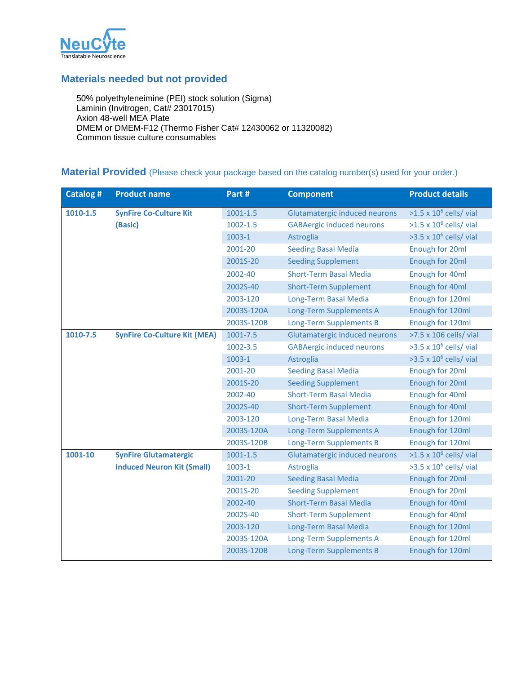

### **Materials needed but not provided**

50% polyethyleneimine (PEI) stock solution (Sigma) Laminin (Invitrogen, Cat# 23017015) Axion 48-well MEA Plate DMEM or DMEM-F12 (Thermo Fisher Cat# 12430062 or 11320082) Common tissue culture consumables

# **Material Provided** (Please check your package based on the catalog number(s) used for your order.)

| <b>Catalog#</b> | <b>Product name</b>                 | Part #       | <b>Component</b>                 | <b>Product details</b>         |
|-----------------|-------------------------------------|--------------|----------------------------------|--------------------------------|
| 1010-1.5        | <b>SynFire Co-Culture Kit</b>       | $1001 - 1.5$ | Glutamatergic induced neurons    | $>1.5 \times 10^6$ cells/ vial |
|                 | (Basic)                             | $1002 - 1.5$ | <b>GABAergic induced neurons</b> | $>1.5 \times 10^6$ cells/ vial |
|                 |                                     | 1003-1       | Astroglia                        | $>3.5 \times 10^6$ cells/ vial |
|                 |                                     | 2001-20      | <b>Seeding Basal Media</b>       | Enough for 20ml                |
|                 |                                     | 2001S-20     | <b>Seeding Supplement</b>        | Enough for 20ml                |
|                 |                                     | 2002-40      | <b>Short-Term Basal Media</b>    | Enough for 40ml                |
|                 |                                     | 2002S-40     | <b>Short-Term Supplement</b>     | Enough for 40ml                |
|                 |                                     | 2003-120     | Long-Term Basal Media            | Enough for 120ml               |
|                 |                                     | 2003S-120A   | Long-Term Supplements A          | Enough for 120ml               |
|                 |                                     | 2003S-120B   | Long-Term Supplements B          | Enough for 120ml               |
| 1010-7.5        | <b>SynFire Co-Culture Kit (MEA)</b> | 1001-7.5     | Glutamatergic induced neurons    | >7.5 x 106 cells/ vial         |
|                 |                                     | 1002-3.5     | <b>GABAergic induced neurons</b> | $>3.5 \times 10^6$ cells/ vial |
|                 |                                     | 1003-1       | Astroglia                        | $>3.5 \times 10^6$ cells/ vial |
|                 |                                     | 2001-20      | <b>Seeding Basal Media</b>       | Enough for 20ml                |
|                 |                                     | 2001S-20     | <b>Seeding Supplement</b>        | Enough for 20ml                |
|                 |                                     | 2002-40      | <b>Short-Term Basal Media</b>    | Enough for 40ml                |
|                 |                                     | 2002S-40     | <b>Short-Term Supplement</b>     | Enough for 40ml                |
|                 |                                     | 2003-120     | Long-Term Basal Media            | Enough for 120ml               |
|                 |                                     | 2003S-120A   | Long-Term Supplements A          | Enough for 120ml               |
|                 |                                     | 2003S-120B   | <b>Long-Term Supplements B</b>   | Enough for 120ml               |
| 1001-10         | <b>SynFire Glutamatergic</b>        | $1001 - 1.5$ | Glutamatergic induced neurons    | $>1.5 \times 10^6$ cells/ vial |
|                 | <b>Induced Neuron Kit (Small)</b>   | 1003-1       | <b>Astroglia</b>                 | $>3.5 \times 10^6$ cells/ vial |
|                 |                                     | 2001-20      | <b>Seeding Basal Media</b>       | Enough for 20ml                |
|                 |                                     | 2001S-20     | <b>Seeding Supplement</b>        | Enough for 20ml                |
|                 |                                     | 2002-40      | <b>Short-Term Basal Media</b>    | Enough for 40ml                |
|                 |                                     | 2002S-40     | <b>Short-Term Supplement</b>     | Enough for 40ml                |
|                 |                                     | 2003-120     | Long-Term Basal Media            | Enough for 120ml               |
|                 |                                     | 2003S-120A   | Long-Term Supplements A          | Enough for 120ml               |
|                 |                                     | 2003S-120B   | Long-Term Supplements B          | Enough for 120ml               |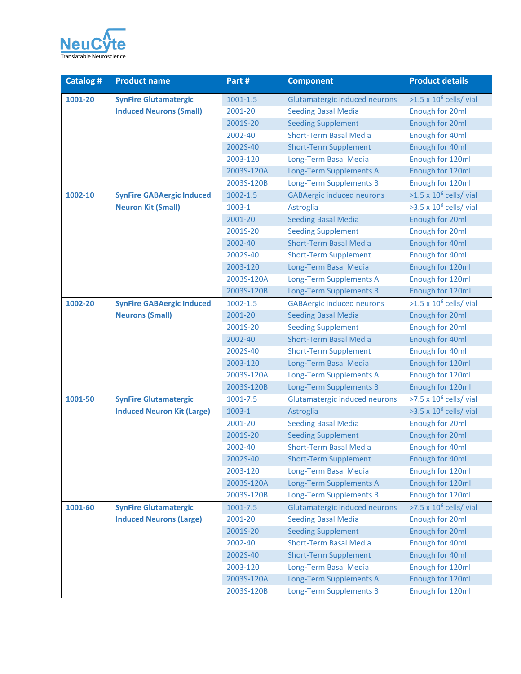

| <b>Catalog#</b> | <b>Product name</b>               | Part #       | <b>Component</b>                 | <b>Product details</b>         |
|-----------------|-----------------------------------|--------------|----------------------------------|--------------------------------|
| 1001-20         | <b>SynFire Glutamatergic</b>      | 1001-1.5     | Glutamatergic induced neurons    | $>1.5 \times 10^6$ cells/ vial |
|                 | <b>Induced Neurons (Small)</b>    | 2001-20      | <b>Seeding Basal Media</b>       | Enough for 20ml                |
|                 |                                   | 2001S-20     | <b>Seeding Supplement</b>        | Enough for 20ml                |
|                 |                                   | 2002-40      | <b>Short-Term Basal Media</b>    | Enough for 40ml                |
|                 |                                   | 2002S-40     | <b>Short-Term Supplement</b>     | Enough for 40ml                |
|                 |                                   | 2003-120     | Long-Term Basal Media            | Enough for 120ml               |
|                 |                                   | 2003S-120A   | Long-Term Supplements A          | Enough for 120ml               |
|                 |                                   | 2003S-120B   | Long-Term Supplements B          | Enough for 120ml               |
| 1002-10         | <b>SynFire GABAergic Induced</b>  | $1002 - 1.5$ | <b>GABAergic induced neurons</b> | $>1.5 \times 10^6$ cells/ vial |
|                 | <b>Neuron Kit (Small)</b>         | 1003-1       | Astroglia                        | $>3.5 \times 10^6$ cells/ vial |
|                 |                                   | 2001-20      | <b>Seeding Basal Media</b>       | Enough for 20ml                |
|                 |                                   | 2001S-20     | <b>Seeding Supplement</b>        | <b>Enough for 20ml</b>         |
|                 |                                   | 2002-40      | <b>Short-Term Basal Media</b>    | Enough for 40ml                |
|                 |                                   | 2002S-40     | <b>Short-Term Supplement</b>     | Enough for 40ml                |
|                 |                                   | 2003-120     | Long-Term Basal Media            | Enough for 120ml               |
|                 |                                   | 2003S-120A   | Long-Term Supplements A          | Enough for 120ml               |
|                 |                                   | 2003S-120B   | Long-Term Supplements B          | Enough for 120ml               |
| 1002-20         | <b>SynFire GABAergic Induced</b>  | $1002 - 1.5$ | <b>GABAergic induced neurons</b> | $>1.5 \times 10^6$ cells/ vial |
|                 | <b>Neurons (Small)</b>            | 2001-20      | <b>Seeding Basal Media</b>       | Enough for 20ml                |
|                 |                                   | 2001S-20     | <b>Seeding Supplement</b>        | Enough for 20ml                |
|                 |                                   | 2002-40      | <b>Short-Term Basal Media</b>    | Enough for 40ml                |
|                 |                                   | 2002S-40     | <b>Short-Term Supplement</b>     | Enough for 40ml                |
|                 |                                   | 2003-120     | Long-Term Basal Media            | Enough for 120ml               |
|                 |                                   | 2003S-120A   | Long-Term Supplements A          | Enough for 120ml               |
|                 |                                   | 2003S-120B   | Long-Term Supplements B          | Enough for 120ml               |
| 1001-50         | <b>SynFire Glutamatergic</b>      | 1001-7.5     | Glutamatergic induced neurons    | $>7.5 \times 10^6$ cells/ vial |
|                 | <b>Induced Neuron Kit (Large)</b> | 1003-1       | Astroglia                        | $>3.5 \times 10^6$ cells/ vial |
|                 |                                   | 2001-20      | <b>Seeding Basal Media</b>       | Enough for 20ml                |
|                 |                                   | 2001S-20     | <b>Seeding Supplement</b>        | Enough for 20ml                |
|                 |                                   | 2002-40      | <b>Short-Term Basal Media</b>    | Enough for 40ml                |
|                 |                                   | 2002S-40     | <b>Short-Term Supplement</b>     | Enough for 40ml                |
|                 |                                   | 2003-120     | Long-Term Basal Media            | Enough for 120ml               |
|                 |                                   | 2003S-120A   | Long-Term Supplements A          | Enough for 120ml               |
|                 |                                   | 2003S-120B   | Long-Term Supplements B          | Enough for 120ml               |
| 1001-60         | <b>SynFire Glutamatergic</b>      | $1001 - 7.5$ | Glutamatergic induced neurons    | $>7.5 \times 10^6$ cells/ vial |
|                 | <b>Induced Neurons (Large)</b>    | 2001-20      | <b>Seeding Basal Media</b>       | Enough for 20ml                |
|                 |                                   | 2001S-20     | <b>Seeding Supplement</b>        | Enough for 20ml                |
|                 |                                   | 2002-40      | <b>Short-Term Basal Media</b>    | Enough for 40ml                |
|                 |                                   | 2002S-40     | <b>Short-Term Supplement</b>     | Enough for 40ml                |
|                 |                                   | 2003-120     | Long-Term Basal Media            | Enough for 120ml               |
|                 |                                   | 2003S-120A   | Long-Term Supplements A          | Enough for 120ml               |
|                 |                                   | 2003S-120B   | <b>Long-Term Supplements B</b>   | Enough for 120ml               |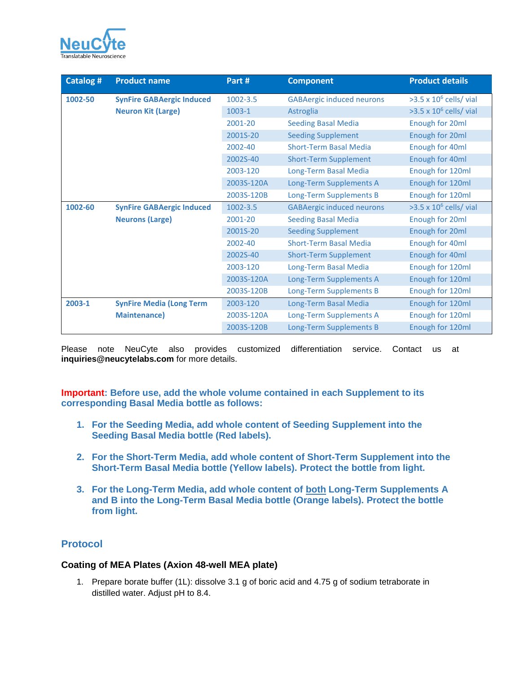

| Catalog #                                                                | <b>Product name</b>             | Part #                       | <b>Component</b>                 | <b>Product details</b>         |
|--------------------------------------------------------------------------|---------------------------------|------------------------------|----------------------------------|--------------------------------|
| 1002-50<br><b>SynFire GABAergic Induced</b><br><b>Neuron Kit (Large)</b> |                                 | 1002-3.5                     | <b>GABAergic induced neurons</b> | $>3.5 \times 10^6$ cells/ vial |
|                                                                          |                                 | 1003-1                       | Astroglia                        | $>3.5 \times 10^6$ cells/ vial |
|                                                                          |                                 | 2001-20                      | <b>Seeding Basal Media</b>       | Enough for 20ml                |
|                                                                          |                                 | 2001S-20                     | <b>Seeding Supplement</b>        | Enough for 20ml                |
|                                                                          |                                 | 2002-40                      | <b>Short-Term Basal Media</b>    | Enough for 40ml                |
|                                                                          |                                 | 2002S-40                     | <b>Short-Term Supplement</b>     | Enough for 40ml                |
|                                                                          | 2003-120                        | Long-Term Basal Media        | Enough for 120ml                 |                                |
|                                                                          | 2003S-120A                      | Long-Term Supplements A      | Enough for 120ml                 |                                |
|                                                                          |                                 | 2003S-120B                   | Long-Term Supplements B          | Enough for 120ml               |
| 1002-60<br><b>SynFire GABAergic Induced</b><br><b>Neurons (Large)</b>    |                                 | $1002 - 3.5$                 | <b>GABAergic induced neurons</b> | $>3.5 \times 10^6$ cells/ vial |
|                                                                          |                                 | 2001-20                      | <b>Seeding Basal Media</b>       | Enough for 20ml                |
|                                                                          |                                 | 2001S-20                     | <b>Seeding Supplement</b>        | Enough for 20ml                |
|                                                                          |                                 | 2002-40                      | <b>Short-Term Basal Media</b>    | Enough for 40ml                |
|                                                                          | 2002S-40                        | <b>Short-Term Supplement</b> | Enough for 40ml                  |                                |
|                                                                          |                                 | 2003-120                     | Long-Term Basal Media            | Enough for 120ml               |
|                                                                          |                                 | 2003S-120A                   | Long-Term Supplements A          | Enough for 120ml               |
|                                                                          |                                 | 2003S-120B                   | Long-Term Supplements B          | Enough for 120ml               |
| 2003-1                                                                   | <b>SynFire Media (Long Term</b> | 2003-120                     | Long-Term Basal Media            | Enough for 120ml               |
|                                                                          | <b>Maintenance)</b>             | 2003S-120A                   | Long-Term Supplements A          | Enough for 120ml               |
|                                                                          |                                 | 2003S-120B                   | Long-Term Supplements B          | Enough for 120ml               |

Please note NeuCyte also provides customized differentiation service. Contact us at **inquiries@neucytelabs.com** for more details.

**Important: Before use, add the whole volume contained in each Supplement to its corresponding Basal Media bottle as follows:**

- **1. For the Seeding Media, add whole content of Seeding Supplement into the Seeding Basal Media bottle (Red labels).**
- **2. For the Short-Term Media, add whole content of Short-Term Supplement into the Short-Term Basal Media bottle (Yellow labels). Protect the bottle from light.**
- **3. For the Long-Term Media, add whole content of both Long-Term Supplements A and B into the Long-Term Basal Media bottle (Orange labels). Protect the bottle from light.**

#### **Protocol**

#### **Coating of MEA Plates (Axion 48-well MEA plate)**

1. Prepare borate buffer (1L): dissolve 3.1 g of boric acid and 4.75 g of sodium tetraborate in distilled water. Adjust pH to 8.4.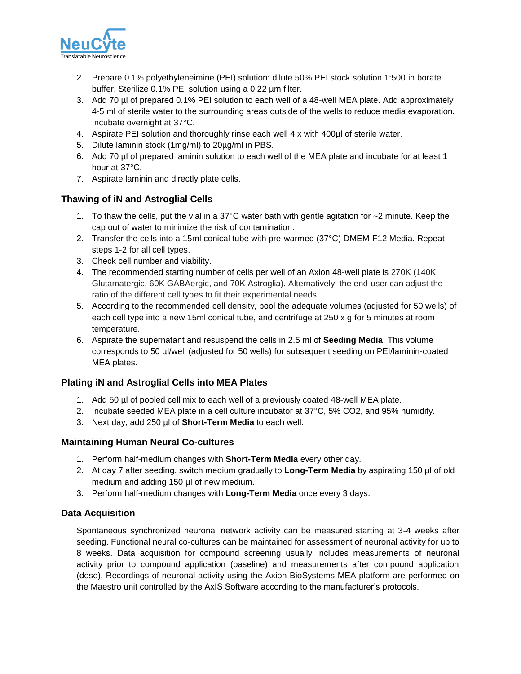

- 2. Prepare 0.1% polyethyleneimine (PEI) solution: dilute 50% PEI stock solution 1:500 in borate buffer. Sterilize 0.1% PEI solution using a 0.22 µm filter.
- 3. Add 70 µl of prepared 0.1% PEI solution to each well of a 48-well MEA plate. Add approximately 4-5 ml of sterile water to the surrounding areas outside of the wells to reduce media evaporation. Incubate overnight at 37°C.
- 4. Aspirate PEI solution and thoroughly rinse each well 4 x with 400µl of sterile water.
- 5. Dilute laminin stock (1mg/ml) to 20µg/ml in PBS.
- 6. Add 70 µl of prepared laminin solution to each well of the MEA plate and incubate for at least 1 hour at 37°C.
- 7. Aspirate laminin and directly plate cells.

#### **Thawing of iN and Astroglial Cells**

- 1. To thaw the cells, put the vial in a 37 $\degree$ C water bath with gentle agitation for  $\sim$ 2 minute. Keep the cap out of water to minimize the risk of contamination.
- 2. Transfer the cells into a 15ml conical tube with pre-warmed (37°C) DMEM-F12 Media. Repeat steps 1-2 for all cell types.
- 3. Check cell number and viability.
- 4. The recommended starting number of cells per well of an Axion 48-well plate is 270K (140K Glutamatergic, 60K GABAergic, and 70K Astroglia). Alternatively, the end-user can adjust the ratio of the different cell types to fit their experimental needs.
- 5. According to the recommended cell density, pool the adequate volumes (adjusted for 50 wells) of each cell type into a new 15ml conical tube, and centrifuge at 250 x g for 5 minutes at room temperature.
- 6. Aspirate the supernatant and resuspend the cells in 2.5 ml of **Seeding Media**. This volume corresponds to 50 µl/well (adjusted for 50 wells) for subsequent seeding on PEI/laminin-coated MEA plates.

#### **Plating iN and Astroglial Cells into MEA Plates**

- 1. Add 50 µl of pooled cell mix to each well of a previously coated 48-well MEA plate.
- 2. Incubate seeded MEA plate in a cell culture incubator at 37°C, 5% CO2, and 95% humidity.
- 3. Next day, add 250 µl of **Short-Term Media** to each well.

#### **Maintaining Human Neural Co-cultures**

- 1. Perform half-medium changes with **Short-Term Media** every other day.
- 2. At day 7 after seeding, switch medium gradually to **Long-Term Media** by aspirating 150 µl of old medium and adding 150 µl of new medium.
- 3. Perform half-medium changes with **Long-Term Media** once every 3 days.

#### **Data Acquisition**

Spontaneous synchronized neuronal network activity can be measured starting at 3-4 weeks after seeding. Functional neural co-cultures can be maintained for assessment of neuronal activity for up to 8 weeks. Data acquisition for compound screening usually includes measurements of neuronal activity prior to compound application (baseline) and measurements after compound application (dose). Recordings of neuronal activity using the Axion BioSystems MEA platform are performed on the Maestro unit controlled by the AxIS Software according to the manufacturer's protocols.